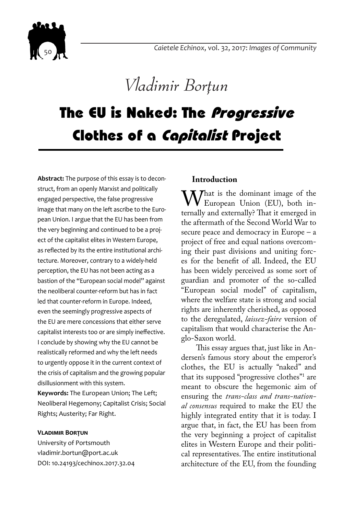

*Vladimir Borțun* 

# The EU is Naked: The Progressive Clothes of a Capitalist Project

**Abstract:** The purpose of this essay is to deconstruct, from an openly Marxist and politically engaged perspective, the false progressive image that many on the left ascribe to the European Union. I argue that the EU has been from the very beginning and continued to be a project of the capitalist elites in Western Europe, as reflected by its the entire institutional architecture. Moreover, contrary to a widely-held perception, the EU has not been acting as a bastion of the "European social model" against the neoliberal counter-reform but has in fact led that counter-reform in Europe. Indeed, even the seemingly progressive aspects of the EU are mere concessions that either serve capitalist interests too or are simply ineffective. I conclude by showing why the EU cannot be realistically reformed and why the left needs to urgently oppose it in the current context of the crisis of capitalism and the growing popular disillusionment with this system.

**Keywords:** The European Union; The Left; Neoliberal Hegemony; Capitalist Crisis; Social Rights; Austerity; Far Right.

#### **Vladimir Borțun**

University of Portsmouth vladimir.bortun@port.ac.uk DOI: 10.24193/cechinox.2017.32.04

#### **Introduction**

What is the dominant image of the<br>European Union (EU), both in-<br>ternally and externally? That it emerged in ternally and externally? That it emerged in the aftermath of the Second World War to secure peace and democracy in Europe – a project of free and equal nations overcoming their past divisions and uniting forces for the benefit of all. Indeed, the EU has been widely perceived as some sort of guardian and promoter of the so-called "European social model" of capitalism, where the welfare state is strong and social rights are inherently cherished, as opposed to the deregulated, *laissez-faire* version of capitalism that would characterise the Anglo-Saxon world.

This essay argues that, just like in Andersen's famous story about the emperor's clothes, the EU is actually "naked" and that its supposed "progressive clothes"1 are meant to obscure the hegemonic aim of ensuring the *trans-class and trans-national consensus* required to make the EU the highly integrated entity that it is today. I argue that, in fact, the EU has been from the very beginning a project of capitalist elites in Western Europe and their political representatives. The entire institutional architecture of the EU, from the founding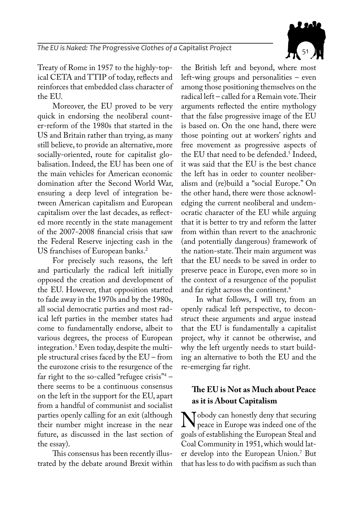

Treaty of Rome in 1957 to the highly-topical CETA and TTIP of today, reflects and reinforces that embedded class character of the EU.

Moreover, the EU proved to be very quick in endorsing the neoliberal counter-reform of the 1980s that started in the US and Britain rather than trying, as many still believe, to provide an alternative, more socially-oriented, route for capitalist globalisation. Indeed, the EU has been one of the main vehicles for American economic domination after the Second World War, ensuring a deep level of integration between American capitalism and European capitalism over the last decades, as reflected more recently in the state management of the 2007-2008 financial crisis that saw the Federal Reserve injecting cash in the US franchises of European banks.<sup>2</sup>

For precisely such reasons, the left and particularly the radical left initially opposed the creation and development of the EU. However, that opposition started to fade away in the 1970s and by the 1980s, all social democratic parties and most radical left parties in the member states had come to fundamentally endorse, albeit to various degrees, the process of European integration.3 Even today, despite the multiple structural crises faced by the EU – from the eurozone crisis to the resurgence of the far right to the so-called "refugee crisis"4 – there seems to be a continuous consensus on the left in the support for the EU, apart from a handful of communist and socialist parties openly calling for an exit (although their number might increase in the near future, as discussed in the last section of the essay).

This consensus has been recently illustrated by the debate around Brexit within the British left and beyond, where most left-wing groups and personalities – even among those positioning themselves on the radical left – called for a Remain vote. Their arguments reflected the entire mythology that the false progressive image of the EU is based on. On the one hand, there were those pointing out at workers' rights and free movement as progressive aspects of the EU that need to be defended.<sup>5</sup> Indeed, it was said that the EU is the best chance the left has in order to counter neoliberalism and (re)build a "social Europe." On the other hand, there were those acknowledging the current neoliberal and undemocratic character of the EU while arguing that it is better to try and reform the latter from within than revert to the anachronic (and potentially dangerous) framework of the nation-state. Their main argument was that the EU needs to be saved in order to preserve peace in Europe, even more so in the context of a resurgence of the populist and far right across the continent.<sup>6</sup>

In what follows, I will try, from an openly radical left perspective, to deconstruct these arguments and argue instead that the EU is fundamentally a capitalist project, why it cannot be otherwise, and why the left urgently needs to start building an alternative to both the EU and the re-emerging far right.

### **The EU is Not as Much about Peace as it is About Capitalism**

Nobody can honestly deny that securing<br>peace in Europe was indeed one of the<br>goals of establishing the European Steal and goals of establishing the European Steal and Coal Community in 1951, which would later develop into the European Union.7 But that has less to do with pacifism as such than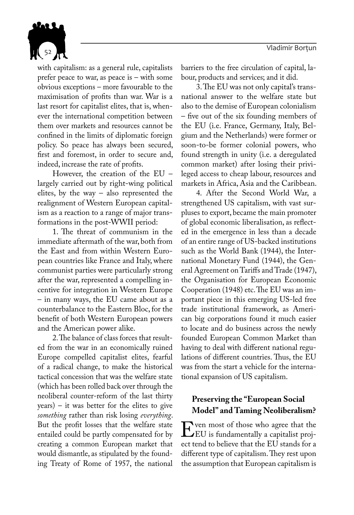

with capitalism: as a general rule, capitalists prefer peace to war, as peace is – with some obvious exceptions – more favourable to the maximisation of profits than war. War is a last resort for capitalist elites, that is, whenever the international competition between them over markets and resources cannot be confined in the limits of diplomatic foreign policy. So peace has always been secured, first and foremost, in order to secure and, indeed, increase the rate of profits.

However, the creation of the EU – largely carried out by right-wing political elites, by the way – also represented the realignment of Western European capitalism as a reaction to a range of major transformations in the post-WWII period:

1. The threat of communism in the immediate aftermath of the war, both from the East and from within Western European countries like France and Italy, where communist parties were particularly strong after the war, represented a compelling incentive for integration in Western Europe – in many ways, the EU came about as a counterbalance to the Eastern Bloc, for the benefit of both Western European powers and the American power alike.

2. The balance of class forces that resulted from the war in an economically ruined Europe compelled capitalist elites, fearful of a radical change, to make the historical tactical concession that was the welfare state (which has been rolled back over through the neoliberal counter-reform of the last thirty years) – it was better for the elites to give *something* rather than risk losing *everything*. But the profit losses that the welfare state entailed could be partly compensated for by creating a common European market that would dismantle, as stipulated by the founding Treaty of Rome of 1957, the national

barriers to the free circulation of capital, labour, products and services; and it did.

3. The EU was not only capital's transnational answer to the welfare state but also to the demise of European colonialism – five out of the six founding members of the EU (i.e. France, Germany, Italy, Belgium and the Netherlands) were former or soon-to-be former colonial powers, who found strength in unity (i.e. a deregulated common market) after losing their privileged access to cheap labour, resources and markets in Africa, Asia and the Caribbean.

4. After the Second World War, a strengthened US capitalism, with vast surpluses to export, became the main promoter of global economic liberalisation, as reflected in the emergence in less than a decade of an entire range of US-backed institutions such as the World Bank (1944), the International Monetary Fund (1944), the General Agreement on Tariffs and Trade (1947), the Organisation for European Economic Cooperation (1948) etc. The EU was an important piece in this emerging US-led free trade institutional framework, as American big corporations found it much easier to locate and do business across the newly founded European Common Market than having to deal with different national regulations of different countries. Thus, the EU was from the start a vehicle for the international expansion of US capitalism.

## **Preserving the "European Social Model" and Taming Neoliberalism?**

**EV** ven most of those who agree that the EU is fundamentally a capitalist project tend to believe that the EU stands for a ect tend to believe that the EU stands for a different type of capitalism. They rest upon the assumption that European capitalism is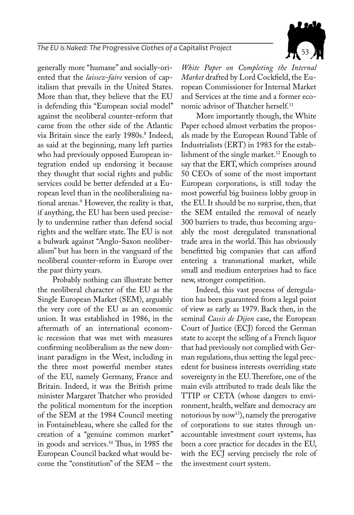

generally more "humane" and socially-oriented that the *laissez-faire* version of capitalism that prevails in the United States. More than that, they believe that the EU is defending this "European social model" against the neoliberal counter-reform that came from the other side of the Atlantic via Britain since the early 1980s.<sup>8</sup> Indeed, as said at the beginning, many left parties who had previously opposed European integration ended up endorsing it because they thought that social rights and public services could be better defended at a European level than in the neoliberalising national arenas.9 However, the reality is that, if anything, the EU has been used precisely to undermine rather than defend social rights and the welfare state. The EU is not a bulwark against "Anglo-Saxon neoliberalism" but has been in the vanguard of the neoliberal counter-reform in Europe over the past thirty years.

Probably nothing can illustrate better the neoliberal character of the EU as the Single European Market (SEM), arguably the very core of the EU as an economic union. It was established in 1986, in the aftermath of an international economic recession that was met with measures confirming neoliberalism as the new dominant paradigm in the West, including in the three most powerful member states of the EU, namely Germany, France and Britain. Indeed, it was the British prime minister Margaret Thatcher who provided the political momentum for the inception of the SEM at the 1984 Council meeting in Fontainebleau, where she called for the creation of a "genuine common market" in goods and services.10 Thus, in 1985 the European Council backed what would become the "constitution" of the SEM – the

*White Paper on Completing the Internal Market* drafted by Lord Cockfield, the European Commissioner for Internal Market and Services at the time and a former economic advisor of Thatcher herself.<sup>11</sup>

More importantly though, the White Paper echoed almost verbatim the proposals made by the European Round Table of Industrialists (ERT) in 1983 for the establishment of the single market.<sup>12</sup> Enough to say that the ERT, which comprises around 50 CEOs of some of the most important European corporations, is still today the most powerful big business lobby group in the EU. It should be no surprise, then, that the SEM entailed the removal of nearly 300 barriers to trade, thus becoming arguably the most deregulated transnational trade area in the world. This has obviously benefitted big companies that can afford entering a transnational market, while small and medium enterprises had to face new, stronger competition.

Indeed, this vast process of deregulation has been guaranteed from a legal point of view as early as 1979. Back then, in the seminal *Cassis de Dijon* case, the European Court of Justice (ECJ) forced the German state to accept the selling of a French liquor that had previously not complied with German regulations, thus setting the legal precedent for business interests overriding state sovereignty in the EU. Therefore, one of the main evils attributed to trade deals like the TTIP or CETA (whose dangers to environment, health, welfare and democracy are notorious by now<sup>13</sup>), namely the prerogative of corporations to sue states through unaccountable investment court systems, has been a core practice for decades in the EU, with the ECJ serving precisely the role of the investment court system.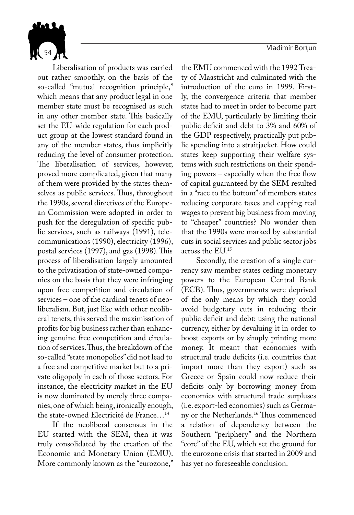54 Vladimir Borțun din Solid al II-lea din Solid Alexandrii Solid al II-lea din Solid Alexandrii Borțun din S



Liberalisation of products was carried out rather smoothly, on the basis of the so-called "mutual recognition principle," which means that any product legal in one member state must be recognised as such in any other member state. This basically set the EU-wide regulation for each product group at the lowest standard found in any of the member states, thus implicitly reducing the level of consumer protection. The liberalisation of services, however, proved more complicated, given that many of them were provided by the states themselves as public services. Thus, throughout the 1990s, several directives of the European Commission were adopted in order to push for the deregulation of specific public services, such as railways (1991), telecommunications (1990), electricity (1996), postal services (1997), and gas (1998). This process of liberalisation largely amounted to the privatisation of state-owned companies on the basis that they were infringing upon free competition and circulation of services – one of the cardinal tenets of neoliberalism. But, just like with other neoliberal tenets, this served the maximisation of profits for big business rather than enhancing genuine free competition and circulation of services. Thus, the breakdown of the so-called "state monopolies" did not lead to a free and competitive market but to a private oligopoly in each of those sectors. For instance, the electricity market in the EU is now dominated by merely three companies, one of which being, ironically enough, the state-owned Electricité de France…14

If the neoliberal consensus in the EU started with the SEM, then it was truly consolidated by the creation of the Economic and Monetary Union (EMU). More commonly known as the "eurozone," the EMU commenced with the 1992 Treaty of Maastricht and culminated with the introduction of the euro in 1999. Firstly, the convergence criteria that member states had to meet in order to become part of the EMU, particularly by limiting their public deficit and debt to 3% and 60% of the GDP respectively, practically put public spending into a straitjacket. How could states keep supporting their welfare systems with such restrictions on their spending powers – especially when the free flow of capital guaranteed by the SEM resulted in a "race to the bottom" of members states reducing corporate taxes and capping real wages to prevent big business from moving to "cheaper" countries? No wonder then that the 1990s were marked by substantial cuts in social services and public sector jobs across the EU.15

Secondly, the creation of a single currency saw member states ceding monetary powers to the European Central Bank (ECB). Thus, governments were deprived of the only means by which they could avoid budgetary cuts in reducing their public deficit and debt: using the national currency, either by devaluing it in order to boost exports or by simply printing more money. It meant that economies with structural trade deficits (i.e. countries that import more than they export) such as Greece or Spain could now reduce their deficits only by borrowing money from economies with structural trade surpluses (i.e. export-led economies) such as Germany or the Netherlands.<sup>16</sup> Thus commenced a relation of dependency between the Southern "periphery" and the Northern "core" of the EU, which set the ground for the eurozone crisis that started in 2009 and has yet no foreseeable conclusion.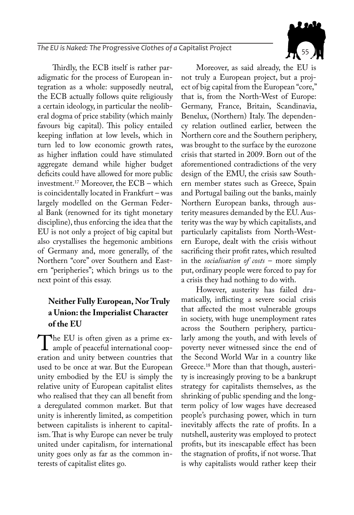Thirdly, the ECB itself is rather paradigmatic for the process of European integration as a whole: supposedly neutral, the ECB actually follows quite religiously a certain ideology, in particular the neoliberal dogma of price stability (which mainly favours big capital). This policy entailed keeping inflation at low levels, which in turn led to low economic growth rates, as higher inflation could have stimulated aggregate demand while higher budget deficits could have allowed for more public investment.17 Moreover, the ECB – which is coincidentally located in Frankfurt – was largely modelled on the German Federal Bank (renowned for its tight monetary discipline), thus enforcing the idea that the EU is not only a project of big capital but also crystallises the hegemonic ambitions of Germany and, more generally, of the Northern "core" over Southern and Eastern "peripheries"; which brings us to the next point of this essay.

## **Neither Fully European, Nor Truly a Union: the Imperialist Character of the EU**

The EU is often given as a prime ex-<br>ample of peaceful international coop-<br>eration and unity between countries that eration and unity between countries that used to be once at war. But the European unity embodied by the EU is simply the relative unity of European capitalist elites who realised that they can all benefit from a deregulated common market. But that unity is inherently limited, as competition between capitalists is inherent to capitalism. That is why Europe can never be truly united under capitalism, for international unity goes only as far as the common interests of capitalist elites go.

Moreover, as said already, the EU is not truly a European project, but a project of big capital from the European "core," that is, from the North-West of Europe: Germany, France, Britain, Scandinavia, Benelux, (Northern) Italy. The dependency relation outlined earlier, between the Northern core and the Southern periphery, was brought to the surface by the eurozone crisis that started in 2009. Born out of the aforementioned contradictions of the very design of the EMU, the crisis saw Southern member states such as Greece, Spain and Portugal bailing out the banks, mainly Northern European banks, through austerity measures demanded by the EU. Austerity was the way by which capitalists, and particularly capitalists from North-Western Europe, dealt with the crisis without sacrificing their profit rates, which resulted in the *socialisation of costs* – more simply put, ordinary people were forced to pay for a crisis they had nothing to do with.

However, austerity has failed dramatically, inflicting a severe social crisis that affected the most vulnerable groups in society, with huge unemployment rates across the Southern periphery, particularly among the youth, and with levels of poverty never witnessed since the end of the Second World War in a country like Greece.18 More than that though, austerity is increasingly proving to be a bankrupt strategy for capitalists themselves, as the shrinking of public spending and the longterm policy of low wages have decreased people's purchasing power, which in turn inevitably affects the rate of profits. In a nutshell, austerity was employed to protect profits, but its inescapable effect has been the stagnation of profits, if not worse. That is why capitalists would rather keep their

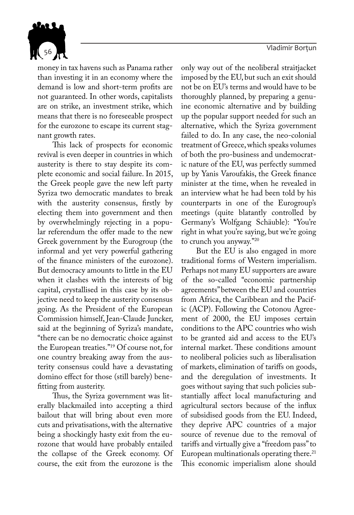<sup>56</sup> Vladimir Borțun



money in tax havens such as Panama rather than investing it in an economy where the demand is low and short-term profits are not guaranteed. In other words, capitalists are on strike, an investment strike, which means that there is no foreseeable prospect for the eurozone to escape its current stagnant growth rates.

This lack of prospects for economic revival is even deeper in countries in which austerity is there to stay despite its complete economic and social failure. In 2015, the Greek people gave the new left party Syriza two democratic mandates to break with the austerity consensus, firstly by electing them into government and then by overwhelmingly rejecting in a popular referendum the offer made to the new Greek government by the Eurogroup (the informal and yet very powerful gathering of the finance ministers of the eurozone). But democracy amounts to little in the EU when it clashes with the interests of big capital, crystallised in this case by its objective need to keep the austerity consensus going. As the President of the European Commission himself, Jean-Claude Juncker, said at the beginning of Syriza's mandate, "there can be no democratic choice against the European treaties."19 Of course not, for one country breaking away from the austerity consensus could have a devastating domino effect for those (still barely) benefitting from austerity.

Thus, the Syriza government was literally blackmailed into accepting a third bailout that will bring about even more cuts and privatisations, with the alternative being a shockingly hasty exit from the eurozone that would have probably entailed the collapse of the Greek economy. Of course, the exit from the eurozone is the

only way out of the neoliberal straitjacket imposed by the EU, but such an exit should not be on EU's terms and would have to be thoroughly planned, by preparing a genuine economic alternative and by building up the popular support needed for such an alternative, which the Syriza government failed to do. In any case, the neo-colonial treatment of Greece, which speaks volumes of both the pro-business and undemocratic nature of the EU, was perfectly summed up by Yanis Varoufakis, the Greek finance minister at the time, when he revealed in an interview what he had been told by his counterparts in one of the Eurogroup's meetings (quite blatantly controlled by Germany's Wolfgang Schäuble): "You're right in what you're saying, but we're going to crunch you anyway."20

But the EU is also engaged in more traditional forms of Western imperialism. Perhaps not many EU supporters are aware of the so-called "economic partnership agreements" between the EU and countries from Africa, the Caribbean and the Pacific (ACP). Following the Cotonou Agreement of 2000, the EU imposes certain conditions to the APC countries who wish to be granted aid and access to the EU's internal market. These conditions amount to neoliberal policies such as liberalisation of markets, elimination of tariffs on goods, and the deregulation of investments. It goes without saying that such policies substantially affect local manufacturing and agricultural sectors because of the influx of subsidised goods from the EU. Indeed, they deprive APC countries of a major source of revenue due to the removal of tariffs and virtually give a "freedom pass" to European multinationals operating there.<sup>21</sup> This economic imperialism alone should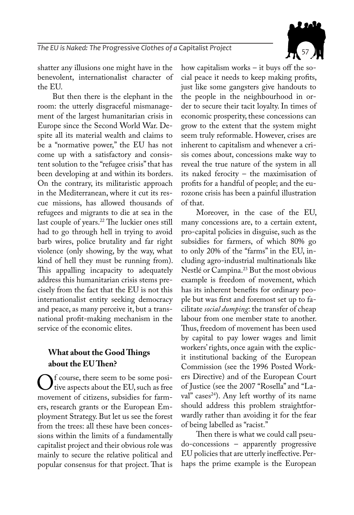

shatter any illusions one might have in the benevolent, internationalist character of the EU.

But then there is the elephant in the room: the utterly disgraceful mismanagement of the largest humanitarian crisis in Europe since the Second World War. Despite all its material wealth and claims to be a "normative power," the EU has not come up with a satisfactory and consistent solution to the "refugee crisis" that has been developing at and within its borders. On the contrary, its militaristic approach in the Mediterranean, where it cut its rescue missions, has allowed thousands of refugees and migrants to die at sea in the last couple of years.<sup>22</sup> The luckier ones still had to go through hell in trying to avoid barb wires, police brutality and far right violence (only showing, by the way, what kind of hell they must be running from). This appalling incapacity to adequately address this humanitarian crisis stems precisely from the fact that the EU is not this internationalist entity seeking democracy and peace, as many perceive it, but a transnational profit-making mechanism in the service of the economic elites.

#### **What about the Good Things about the EU Then?**

 $\bigcup_{\text{tive aspects about the EU, such as free}}^{\text{t course, there seem to be some positive aspects about the EU, such as free}}$ movement of citizens, subsidies for farmers, research grants or the European Employment Strategy. But let us see the forest from the trees: all these have been concessions within the limits of a fundamentally capitalist project and their obvious role was mainly to secure the relative political and popular consensus for that project. That is

how capitalism works – it buys off the social peace it needs to keep making profits, just like some gangsters give handouts to the people in the neighbourhood in order to secure their tacit loyalty. In times of economic prosperity, these concessions can grow to the extent that the system might seem truly reformable. However, crises are inherent to capitalism and whenever a crisis comes about, concessions make way to reveal the true nature of the system in all its naked ferocity – the maximisation of profits for a handful of people; and the eurozone crisis has been a painful illustration of that.

Moreover, in the case of the EU, many concessions are, to a certain extent, pro-capital policies in disguise, such as the subsidies for farmers, of which 80% go to only 20% of the "farms" in the EU, including agro-industrial multinationals like Nestlé or Campina.<sup>23</sup> But the most obvious example is freedom of movement, which has its inherent benefits for ordinary people but was first and foremost set up to facilitate *social dumping*: the transfer of cheap labour from one member state to another. Thus, freedom of movement has been used by capital to pay lower wages and limit workers' rights, once again with the explicit institutional backing of the European Commission (see the 1996 Posted Workers Directive) and of the European Court of Justice (see the 2007 "Rosella" and "Laval" cases<sup>24</sup>). Any left worthy of its name should address this problem straightforwardly rather than avoiding it for the fear of being labelled as "racist."

Then there is what we could call pseudo-concessions – apparently progressive EU policies that are utterly ineffective. Perhaps the prime example is the European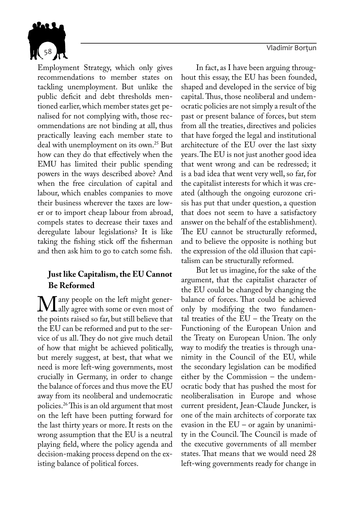58 Vladimir Borțun din Solid al II-lea din Solid Alexandrii Solid Alexandrii Solid Alexandrii Solid Alexandrii<br>1989 - Johann Solid Alexandrii Solid Alexandrii Solid Alexandrii Solid Alexandrii Solid Alexandrii Solid Alexa



Employment Strategy, which only gives recommendations to member states on tackling unemployment. But unlike the public deficit and debt thresholds mentioned earlier, which member states get penalised for not complying with, those recommendations are not binding at all, thus practically leaving each member state to deal with unemployment on its own.<sup>25</sup> But how can they do that effectively when the EMU has limited their public spending powers in the ways described above? And when the free circulation of capital and labour, which enables companies to move their business wherever the taxes are lower or to import cheap labour from abroad, compels states to decrease their taxes and deregulate labour legislations? It is like taking the fishing stick off the fisherman and then ask him to go to catch some fish.

### **Just like Capitalism, the EU Cannot Be Reformed**

M any people on the left might gener-<br>the points raised so far but still believe that the points raised so far, but still believe that the EU can be reformed and put to the service of us all. They do not give much detail of how that might be achieved politically, but merely suggest, at best, that what we need is more left-wing governments, most crucially in Germany, in order to change the balance of forces and thus move the EU away from its neoliberal and undemocratic policies.26 This is an old argument that most on the left have been putting forward for the last thirty years or more. It rests on the wrong assumption that the EU is a neutral playing field, where the policy agenda and decision-making process depend on the existing balance of political forces.

In fact, as I have been arguing throughout this essay, the EU has been founded, shaped and developed in the service of big capital. Thus, those neoliberal and undemocratic policies are not simply a result of the past or present balance of forces, but stem from all the treaties, directives and policies that have forged the legal and institutional architecture of the EU over the last sixty years. The EU is not just another good idea that went wrong and can be redressed; it is a bad idea that went very well, so far, for the capitalist interests for which it was created (although the ongoing eurozone crisis has put that under question, a question that does not seem to have a satisfactory answer on the behalf of the establishment). The EU cannot be structurally reformed, and to believe the opposite is nothing but the expression of the old illusion that capitalism can be structurally reformed.

But let us imagine, for the sake of the argument, that the capitalist character of the EU could be changed by changing the balance of forces. That could be achieved only by modifying the two fundamental treaties of the EU – the Treaty on the Functioning of the European Union and the Treaty on European Union. The only way to modify the treaties is through unanimity in the Council of the EU, while the secondary legislation can be modified either by the Commission – the undemocratic body that has pushed the most for neoliberalisation in Europe and whose current president, Jean-Claude Juncker, is one of the main architects of corporate tax evasion in the EU – or again by unanimity in the Council. The Council is made of the executive governments of all member states. That means that we would need 28 left-wing governments ready for change in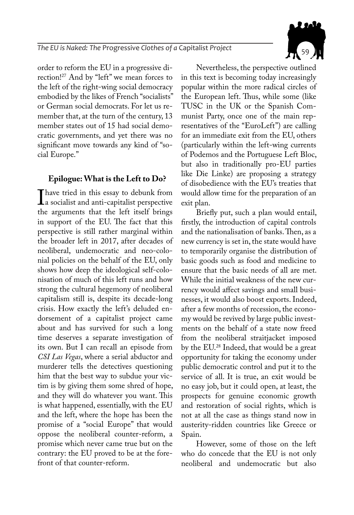

order to reform the EU in a progressive direction!27 And by "left" we mean forces to the left of the right-wing social democracy embodied by the likes of French "socialists" or German social democrats. For let us remember that, at the turn of the century, 13 member states out of 15 had social democratic governments, and yet there was no significant move towards any kind of "social Europe."

#### **Epilogue: What is the Left to Do?**

I have tried in this essay to debunk from<br>a socialist and anti-capitalist perspective<br>the arguments that the left itself brings the arguments that the left itself brings in support of the EU. The fact that this perspective is still rather marginal within the broader left in 2017, after decades of neoliberal, undemocratic and neo-colonial policies on the behalf of the EU, only shows how deep the ideological self-colonisation of much of this left runs and how strong the cultural hegemony of neoliberal capitalism still is, despite its decade-long crisis. How exactly the left's deluded endorsement of a capitalist project came about and has survived for such a long time deserves a separate investigation of its own. But I can recall an episode from *CSI Las Vegas*, where a serial abductor and murderer tells the detectives questioning him that the best way to subdue your victim is by giving them some shred of hope, and they will do whatever you want. This is what happened, essentially, with the EU and the left, where the hope has been the promise of a "social Europe" that would oppose the neoliberal counter-reform, a promise which never came true but on the contrary: the EU proved to be at the forefront of that counter-reform.

Nevertheless, the perspective outlined in this text is becoming today increasingly popular within the more radical circles of the European left. Thus, while some (like TUSC in the UK or the Spanish Communist Party, once one of the main representatives of the "EuroLeft") are calling for an immediate exit from the EU, others (particularly within the left-wing currents of Podemos and the Portuguese Left Bloc, but also in traditionally pro-EU parties like Die Linke) are proposing a strategy of disobedience with the EU's treaties that would allow time for the preparation of an exit plan.

Briefly put, such a plan would entail, firstly, the introduction of capital controls and the nationalisation of banks. Then, as a new currency is set in, the state would have to temporarily organise the distribution of basic goods such as food and medicine to ensure that the basic needs of all are met. While the initial weakness of the new currency would affect savings and small businesses, it would also boost exports. Indeed, after a few months of recession, the economy would be revived by large public investments on the behalf of a state now freed from the neoliberal straitjacket imposed by the EU.28 Indeed, that would be a great opportunity for taking the economy under public democratic control and put it to the service of all. It is true, an exit would be no easy job, but it could open, at least, the prospects for genuine economic growth and restoration of social rights, which is not at all the case as things stand now in austerity-ridden countries like Greece or Spain.

However, some of those on the left who do concede that the EU is not only neoliberal and undemocratic but also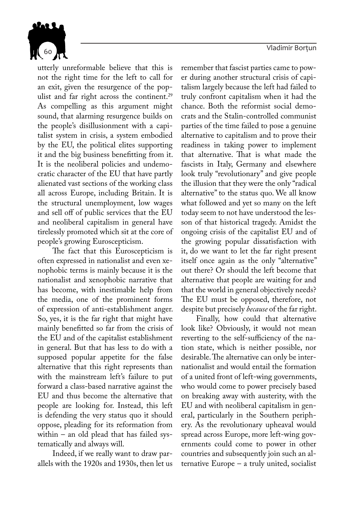<sup>60</sup> Vladimir Borțun



utterly unreformable believe that this is not the right time for the left to call for an exit, given the resurgence of the populist and far right across the continent.<sup>29</sup> As compelling as this argument might sound, that alarming resurgence builds on the people's disillusionment with a capitalist system in crisis, a system embodied by the EU, the political elites supporting it and the big business benefitting from it. It is the neoliberal policies and undemocratic character of the EU that have partly alienated vast sections of the working class all across Europe, including Britain. It is the structural unemployment, low wages and sell off of public services that the EU and neoliberal capitalism in general have tirelessly promoted which sit at the core of people's growing Euroscepticism.

The fact that this Euroscepticism is often expressed in nationalist and even xenophobic terms is mainly because it is the nationalist and xenophobic narrative that has become, with inestimable help from the media, one of the prominent forms of expression of anti-establishment anger. So, yes, it is the far right that might have mainly benefitted so far from the crisis of the EU and of the capitalist establishment in general. But that has less to do with a supposed popular appetite for the false alternative that this right represents than with the mainstream left's failure to put forward a class-based narrative against the EU and thus become the alternative that people are looking for. Instead, this left is defending the very status quo it should oppose, pleading for its reformation from within – an old plead that has failed systematically and always will.

Indeed, if we really want to draw parallels with the 1920s and 1930s, then let us remember that fascist parties came to power during another structural crisis of capitalism largely because the left had failed to truly confront capitalism when it had the chance. Both the reformist social democrats and the Stalin-controlled communist parties of the time failed to pose a genuine alternative to capitalism and to prove their readiness in taking power to implement that alternative. That is what made the fascists in Italy, Germany and elsewhere look truly "revolutionary" and give people the illusion that they were the only "radical alternative" to the status quo. We all know what followed and yet so many on the left today seem to not have understood the lesson of that historical tragedy. Amidst the ongoing crisis of the capitalist EU and of the growing popular dissatisfaction with it, do we want to let the far right present itself once again as the only "alternative" out there? Or should the left become that alternative that people are waiting for and that the world in general objectively needs? The EU must be opposed, therefore, not despite but precisely *because* of the far right.

Finally, how could that alternative look like? Obviously, it would not mean reverting to the self-sufficiency of the nation state, which is neither possible, nor desirable. The alternative can only be internationalist and would entail the formation of a united front of left-wing governments, who would come to power precisely based on breaking away with austerity, with the EU and with neoliberal capitalism in general, particularly in the Southern periphery. As the revolutionary upheaval would spread across Europe, more left-wing governments could come to power in other countries and subsequently join such an alternative Europe – a truly united, socialist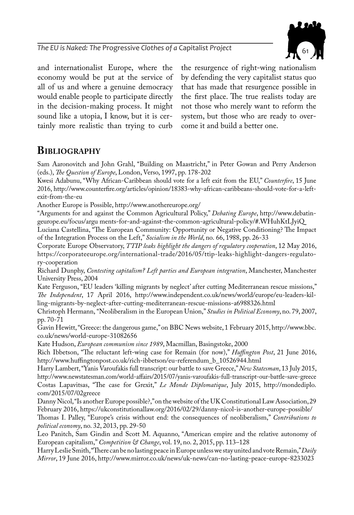

and internationalist Europe, where the economy would be put at the service of all of us and where a genuine democracy would enable people to participate directly in the decision-making process. It might sound like a utopia, I know, but it is certainly more realistic than trying to curb

the resurgence of right-wing nationalism by defending the very capitalist status quo that has made that resurgence possible in the first place. The true realists today are not those who merely want to reform the system, but those who are ready to overcome it and build a better one.

## **Bibliography**

Sam Aaronovitch and John Grahl, "Building on Maastricht," in Peter Gowan and Perry Anderson (eds.), *The Question of Europe*, London, Verso, 1997, pp. 178-202

Kwesi Adabunu, "Why African-Caribbean should vote for a left exit from the EU," *Counterfire*, 15 June 2016, http://www.counterfire.org/articles/opinion/18383-why-african-caribbeans-should-vote-for-a-leftexit-from-the-eu

Another Europe is Possible, http://www.anothereurope.org/

"Arguments for and against the Common Agricultural Policy," *Debating Europe*, http://www.debatingeurope.eu/focus/argu ments-for-and-against-the-common-agricultural-policy/#.WHuhKtLJyiQ

Luciana Castellina, "The European Community: Opportunity or Negative Conditioning? The Impact of the Integration Process on the Left," *Socialism in the World*, no. 66, 1988, pp. 26-33

Corporate Europe Observatory, *TTIP leaks highlight the dangers of regulatory cooperation*, 12 May 2016, https://corporateeurope.org/international-trade/2016/05/ttip-leaks-highlight-dangers-regulatory-cooperation

Richard Dunphy, *Contesting capitalism? Left parties and European integration*, Manchester, Manchester University Press, 2004

Kate Ferguson, "EU leaders 'killing migrants by neglect' after cutting Mediterranean rescue missions," *The Independent*, 17 April 2016, http://www.independent.co.uk/news/world/europe/eu-leaders-killing-migrants-by-neglect-after-cutting-mediterranean-rescue-missions-a6988326.html

Christoph Hermann, "Neoliberalism in the European Union," *Studies in Political Economy*, no. 79, 2007, pp. 70-71

Gavin Hewitt, "Greece: the dangerous game," on BBC News website, 1 February 2015, http://www.bbc. co.uk/news/world-europe-31082656

Kate Hudson, *European communism since 1989*, Macmillan, Basingstoke, 2000

Rich Ibbetson, "The reluctant left-wing case for Remain (for now)," *Huffington Post*, 21 June 2016, http://www.huffingtonpost.co.uk/rich-ibbetson/eu-referendum\_b\_10526944.html

Harry Lambert, "Yanis Varoufakis full transcript: our battle to save Greece," *New Statesman*, 13 July 2015, http://www.newstatesman.com/world-affairs/2015/07/yanis-varoufakis-full-transcript-our-battle-save-greece Costas Lapavitsas, "The case for Grexit," *Le Monde Diplomatique*, July 2015, http://mondediplo. com/2015/07/02greece

Danny Nicol, "Is another Europe possible?," on the website of the UK Constitutional Law Association, 29 February 2016, https://ukconstitutionallaw.org/2016/02/29/danny-nicol-is-another-europe-possible/

Thomas I. Palley, "Europe's crisis without end: the consequences of neoliberalism," *Contributions to political economy*, no. 32, 2013, pp. 29-50

Leo Panitch, Sam Gindin and Scott M. Aquanno, "American empire and the relative autonomy of European capitalism," *Competition & Change*, vol. 19, no. 2, 2015, pp. 113–128

Harry Leslie Smith, "There can be no lasting peace in Europe unless we stay united and vote Remain," *Daily Mirror*, 19 June 2016, http://www.mirror.co.uk/news/uk-news/can-no-lasting-peace-europe-8233023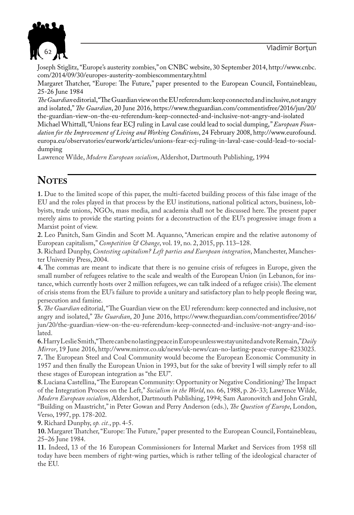

Joseph Stiglitz, "Europe's austerity zombies," on CNBC website, 30 September 2014, http://www.cnbc. com/2014/09/30/europes-austerity-zombiescommentary.html

Margaret Thatcher, "Europe: The Future," paper presented to the European Council, Fontainebleau, 25-26 June 1984

*The Guardian* editorial, "The Guardian view on the EU referendum: keep connected and inclusive, not angry and isolated," *The Guardian*, 20 June 2016, https://www.theguardian.com/commentisfree/2016/jun/20/ the-guardian-view-on-the-eu-referendum-keep-connected-and-inclusive-not-angry-and-isolated

Michael Whittall, "Unions fear ECJ ruling in Laval case could lead to social dumping, " *European Foundation for the Improvement of Living and Working Conditions*, 24 February 2008, http://www.eurofound. europa.eu/observatories/eurwork/articles/unions-fear-ecj-ruling-in-laval-case-could-lead-to-socialdumping

Lawrence Wilde, *Modern European socialism*, Aldershot, Dartmouth Publishing, 1994

## **NOTES**

**1.** Due to the limited scope of this paper, the multi-faceted building process of this false image of the EU and the roles played in that process by the EU institutions, national political actors, business, lobbyists, trade unions, NGOs, mass media, and academia shall not be discussed here. The present paper merely aims to provide the starting points for a deconstruction of the EU's progressive image from a Marxist point of view.

**2.** Leo Panitch, Sam Gindin and Scott M. Aquanno, "American empire and the relative autonomy of European capitalism," *Competition & Change*, vol. 19, no. 2, 2015, pp. 113–128.

**3.** Richard Dunphy, *Contesting capitalism? Left parties and European integration*, Manchester, Manchester University Press, 2004.

**4.** The commas are meant to indicate that there is no genuine crisis of refugees in Europe, given the small number of refugees relative to the scale and wealth of the European Union (in Lebanon, for instance, which currently hosts over 2 million refugees, we can talk indeed of a refugee crisis). The element of crisis stems from the EU's failure to provide a unitary and satisfactory plan to help people fleeing war, persecution and famine.

**5.***The Guardian* editorial, "The Guardian view on the EU referendum: keep connected and inclusive, not angry and isolated," *The Guardian*, 20 June 2016, https://www.theguardian.com/commentisfree/2016/ jun/20/the-guardian-view-on-the-eu-referendum-keep-connected-and-inclusive-not-angry-and-isolated.

**6.** Harry Leslie Smith, "There can be no lasting peace in Europe unless we stay united and vote Remain," *Daily Mirror*, 19 June 2016, http://www.mirror.co.uk/news/uk-news/can-no-lasting-peace-europe-8233023. **7.** The European Steel and Coal Community would become the European Economic Community in 1957 and then finally the European Union in 1993, but for the sake of brevity I will simply refer to all these stages of European integration as "the EU".

**8.**Luciana Castellina, "The European Community: Opportunity or Negative Conditioning? The Impact of the Integration Process on the Left," *Socialism in the World*, no. 66, 1988, p. 26-33; Lawrence Wilde, *Modern European socialism*, Aldershot, Dartmouth Publishing, 1994; Sam Aaronovitch and John Grahl, "Building on Maastricht," in Peter Gowan and Perry Anderson (eds.), *The Question of Europe*, London, Verso, 1997, pp. 178-202.

**9.** Richard Dunphy, *op. cit.*, pp. 4-5.

**10.** Margaret Thatcher, "Europe: The Future," paper presented to the European Council, Fontainebleau, 25–26 June 1984.

**11.** Indeed, 13 of the 16 European Commissioners for Internal Market and Services from 1958 till today have been members of right-wing parties, which is rather telling of the ideological character of the EU.